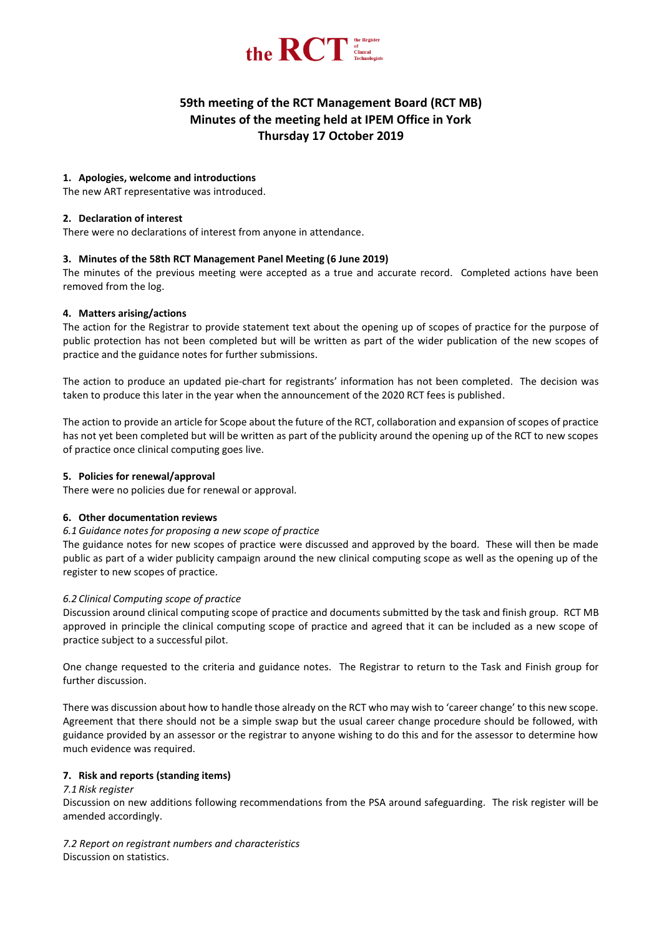

# **59th meeting of the RCT Management Board (RCT MB) Minutes of the meeting held at IPEM Office in York Thursday 17 October 2019**

# **1. Apologies, welcome and introductions**

The new ART representative was introduced.

# **2. Declaration of interest**

There were no declarations of interest from anyone in attendance.

## **3. Minutes of the 58th RCT Management Panel Meeting (6 June 2019)**

The minutes of the previous meeting were accepted as a true and accurate record. Completed actions have been removed from the log.

# **4. Matters arising/actions**

The action for the Registrar to provide statement text about the opening up of scopes of practice for the purpose of public protection has not been completed but will be written as part of the wider publication of the new scopes of practice and the guidance notes for further submissions.

The action to produce an updated pie-chart for registrants' information has not been completed. The decision was taken to produce this later in the year when the announcement of the 2020 RCT fees is published.

The action to provide an article for Scope about the future of the RCT, collaboration and expansion of scopes of practice has not yet been completed but will be written as part of the publicity around the opening up of the RCT to new scopes of practice once clinical computing goes live.

# **5. Policies for renewal/approval**

There were no policies due for renewal or approval.

# **6. Other documentation reviews**

#### *6.1 Guidance notes for proposing a new scope of practice*

The guidance notes for new scopes of practice were discussed and approved by the board. These will then be made public as part of a wider publicity campaign around the new clinical computing scope as well as the opening up of the register to new scopes of practice.

# *6.2 Clinical Computing scope of practice*

Discussion around clinical computing scope of practice and documents submitted by the task and finish group. RCT MB approved in principle the clinical computing scope of practice and agreed that it can be included as a new scope of practice subject to a successful pilot.

One change requested to the criteria and guidance notes. The Registrar to return to the Task and Finish group for further discussion.

There was discussion about how to handle those already on the RCT who may wish to 'career change' to this new scope. Agreement that there should not be a simple swap but the usual career change procedure should be followed, with guidance provided by an assessor or the registrar to anyone wishing to do this and for the assessor to determine how much evidence was required.

# **7. Risk and reports (standing items)**

#### *7.1 Risk register*

Discussion on new additions following recommendations from the PSA around safeguarding. The risk register will be amended accordingly.

*7.2 Report on registrant numbers and characteristics* Discussion on statistics.